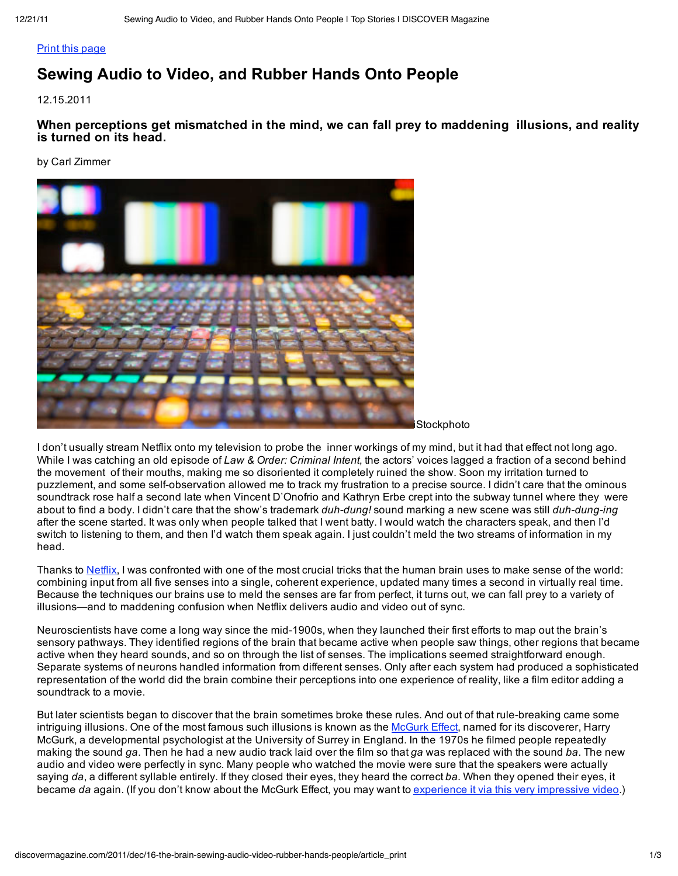## Print this page

## **Sewing Audio to Video, and Rubber Hands Onto People**

12.15.2011

**When perceptions get mismatched in the mind, we can fall prey to maddening illusions, and reality is turned on its head.**

by Carl Zimmer



Stockphoto

I don't usually stream Netflix onto my television to probe the inner workings of my mind, but it had that effect not long ago. While I was catching an old episode of *Law & Order: Criminal Intent*, the actors' voices lagged a fraction of a second behind the movement of their mouths, making me so disoriented it completely ruined the show. Soon my irritation turned to puzzlement, and some self-observation allowed me to track my frustration to a precise source. I didn't care that the ominous soundtrack rose half a second late when Vincent D'Onofrio and Kathryn Erbe crept into the subway tunnel where they were about to find a body. I didn't care that the show's trademark *duh-dung!* sound marking a new scene was still *duh-dung-ing* after the scene started. It was only when people talked that I went batty. I would watch the characters speak, and then I'd switch to listening to them, and then I'd watch them speak again. I just couldn't meld the two streams of information in my head.

Thanks to Netflix, I was confronted with one of the most crucial tricks that the human brain uses to make sense of the world: combining input from all five senses into a single, coherent experience, updated many times a second in virtually real time. Because the techniques our brains use to meld the senses are far from perfect, it turns out, we can fall prey to a variety of illusions—and to maddening confusion when Netflix delivers audio and video out of sync.

Neuroscientists have come a long way since the mid-1900s, when they launched their first efforts to map out the brain's sensory pathways. They identified regions of the brain that became active when people saw things, other regions that became active when they heard sounds, and so on through the list of senses. The implications seemed straightforward enough. Separate systems of neurons handled information from different senses. Only after each system had produced a sophisticated representation of the world did the brain combine their perceptions into one experience of reality, like a film editor adding a soundtrack to a movie.

But later scientists began to discover that the brain sometimes broke these rules. And out of that rule-breaking came some intriguing illusions. One of the most famous such illusions is known as the McGurk Effect, named for its discoverer, Harry McGurk, a developmental psychologist at the University of Surrey in England. In the 1970s he filmed people repeatedly making the sound *ga*. Then he had a new audio track laid over the film so that *ga* was replaced with the sound *ba*. The new audio and video were perfectly in sync. Many people who watched the movie were sure that the speakers were actually saying *da*, a different syllable entirely. If they closed their eyes, they heard the correct *ba*. When they opened their eyes, it became *da* again. (If you don't know about the McGurk Effect, you may want to experience it via this very impressive video.)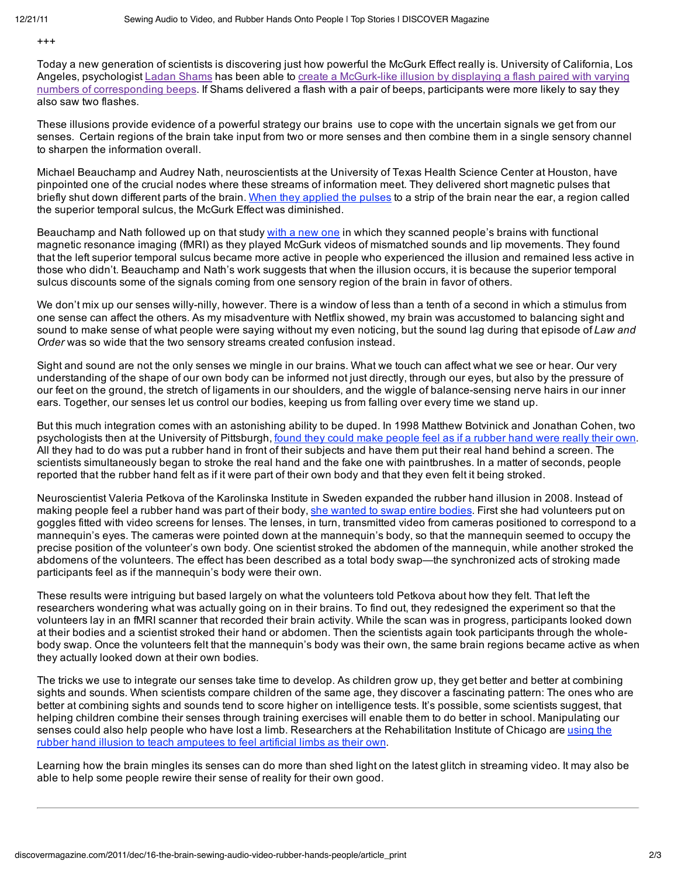+++

Today a new generation of scientists is discovering just how powerful the McGurk Effect really is. University of California, Los Angeles, psychologist Ladan Shams has been able to create a McGurk-like illusion by displaying a flash paired with varying numbers of corresponding beeps. If Shams delivered a flash with a pair of beeps, participants were more likely to say they also saw two flashes.

These illusions provide evidence of a powerful strategy our brains use to cope with the uncertain signals we get from our senses. Certain regions of the brain take input from two or more senses and then combine them in a single sensory channel to sharpen the information overall.

Michael Beauchamp and Audrey Nath, neuroscientists at the University of Texas Health Science Center at Houston, have pinpointed one of the crucial nodes where these streams of information meet. They delivered short magnetic pulses that briefly shut down different parts of the brain. When they applied the pulses to a strip of the brain near the ear, a region called the superior temporal sulcus, the McGurk Effect was diminished.

Beauchamp and Nath followed up on that study with a new one in which they scanned people's brains with functional magnetic resonance imaging (fMRI) as they played McGurk videos of mismatched sounds and lip movements. They found that the left superior temporal sulcus became more active in people who experienced the illusion and remained less active in those who didn't. Beauchamp and Nath's work suggests that when the illusion occurs, it is because the superior temporal sulcus discounts some of the signals coming from one sensory region of the brain in favor of others.

We don't mix up our senses willy-nilly, however. There is a window of less than a tenth of a second in which a stimulus from one sense can affect the others. As my misadventure with Netflix showed, my brain was accustomed to balancing sight and sound to make sense of what people were saying without my even noticing, but the sound lag during that episode of *Law and Order* was so wide that the two sensory streams created confusion instead.

Sight and sound are not the only senses we mingle in our brains. What we touch can affect what we see or hear. Our very understanding of the shape of our own body can be informed not just directly, through our eyes, but also by the pressure of our feet on the ground, the stretch of ligaments in our shoulders, and the wiggle of balance-sensing nerve hairs in our inner ears. Together, our senses let us control our bodies, keeping us from falling over every time we stand up.

But this much integration comes with an astonishing ability to be duped. In 1998 Matthew Botvinick and Jonathan Cohen, two psychologists then at the University of Pittsburgh, found they could make people feel as if a rubber hand were really their own. All they had to do was put a rubber hand in front of their subjects and have them put their real hand behind a screen. The scientists simultaneously began to stroke the real hand and the fake one with paintbrushes. In a matter of seconds, people reported that the rubber hand felt as if it were part of their own body and that they even felt it being stroked.

Neuroscientist Valeria Petkova of the Karolinska Institute in Sweden expanded the rubber hand illusion in 2008. Instead of making people feel a rubber hand was part of their body, she wanted to swap entire bodies. First she had volunteers put on goggles fitted with video screens for lenses. The lenses, in turn, transmitted video from cameras positioned to correspond to a mannequin's eyes. The cameras were pointed down at the mannequin's body, so that the mannequin seemed to occupy the precise position of the volunteer's own body. One scientist stroked the abdomen of the mannequin, while another stroked the abdomens of the volunteers. The effect has been described as a total body swap—the synchronized acts of stroking made participants feel as if the mannequin's body were their own.

These results were intriguing but based largely on what the volunteers told Petkova about how they felt. That left the researchers wondering what was actually going on in their brains. To find out, they redesigned the experiment so that the volunteers lay in an fMRI scanner that recorded their brain activity. While the scan was in progress, participants looked down at their bodies and a scientist stroked their hand or abdomen. Then the scientists again took participants through the wholebody swap. Once the volunteers felt that the mannequin's body was their own, the same brain regions became active as when they actually looked down at their own bodies.

The tricks we use to integrate our senses take time to develop. As children grow up, they get better and better at combining sights and sounds. When scientists compare children of the same age, they discover a fascinating pattern: The ones who are better at combining sights and sounds tend to score higher on intelligence tests. It's possible, some scientists suggest, that helping children combine their senses through training exercises will enable them to do better in school. Manipulating our senses could also help people who have lost a limb. Researchers at the Rehabilitation Institute of Chicago are using the rubber hand illusion to teach amputees to feel artificial limbs as their own.

Learning how the brain mingles its senses can do more than shed light on the latest glitch in streaming video. It may also be able to help some people rewire their sense of reality for their own good.